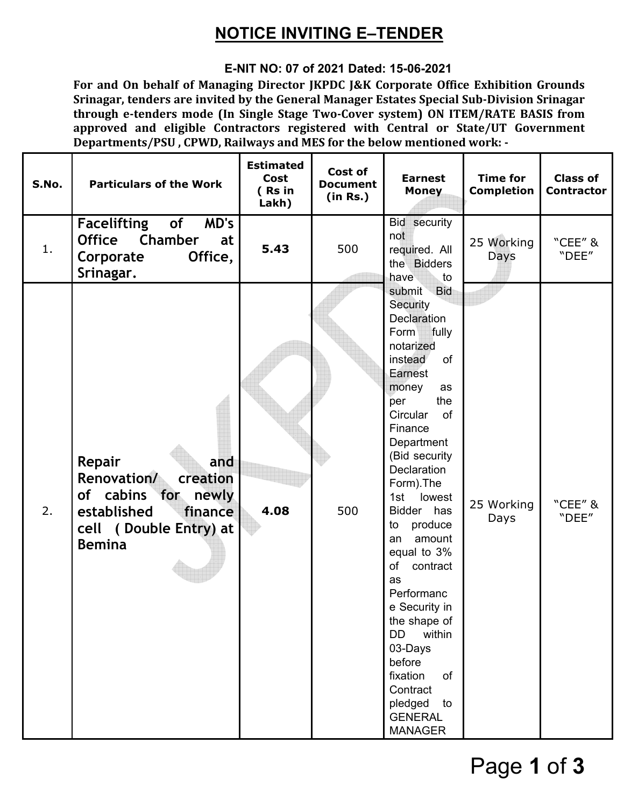# **NOTICE INVITING E–TENDER**

## **E-NIT NO: 07 of 2021 Dated: 15-06-2021**

**For and On behalf of Managing Director JKPDC J&K Corporate Office Exhibition Grounds Srinagar, tenders are invited by the General Manager Estates Special Sub-Division Srinagar through e-tenders mode (In Single Stage Two-Cover system) ON ITEM/RATE BASIS from approved and eligible Contractors registered with Central or State/UT Government Departments/PSU , CPWD, Railways and MES for the below mentioned work: -** 

| S.No. | <b>Particulars of the Work</b>                                                                                                          | <b>Estimated</b><br>Cost<br>(Rs in<br>Lakh) | Cost of<br><b>Document</b><br>(in Rs.) | <b>Earnest</b><br><b>Money</b>                                                                                                                                                                                                                                                                                                                                                                                                                                                                                        | <b>Time for</b><br><b>Completion</b> | <b>Class of</b><br><b>Contractor</b> |
|-------|-----------------------------------------------------------------------------------------------------------------------------------------|---------------------------------------------|----------------------------------------|-----------------------------------------------------------------------------------------------------------------------------------------------------------------------------------------------------------------------------------------------------------------------------------------------------------------------------------------------------------------------------------------------------------------------------------------------------------------------------------------------------------------------|--------------------------------------|--------------------------------------|
| 1.    | of<br>MD's<br>Facelifting<br>Chamber<br><b>Office</b><br>at<br>Office,<br>Corporate<br>Srinagar.                                        | 5.43                                        | 500                                    | Bid security<br>not<br>required. All<br>the Bidders<br>have<br>to                                                                                                                                                                                                                                                                                                                                                                                                                                                     | 25 Working<br>Days                   | "CEE" &<br>"DEE"                     |
| 2.    | Repair<br>and<br>Renovation/<br>creation<br>of cabins for<br>newly<br>established<br>finance<br>cell (Double Entry) at<br><b>Bemina</b> | 4.08                                        | 500                                    | submit Bid<br>Security<br>Declaration<br>Form fully<br>notarized<br>instead<br><b>of</b><br>Earnest<br>money<br>as<br>the<br>per<br>Circular<br><b>of</b><br>Finance<br>Department<br>(Bid security<br>Declaration<br>Form). The<br>1st<br>lowest<br>Bidder has<br>to<br>produce<br>amount<br>an<br>equal to 3%<br>of<br>contract<br>as<br>Performanc<br>e Security in<br>the shape of<br><b>DD</b><br>within<br>03-Days<br>before<br>fixation<br>of<br>Contract<br>pledged<br>to<br><b>GENERAL</b><br><b>MANAGER</b> | 25 Working<br>Days                   | "CEE" &<br>"DEE"                     |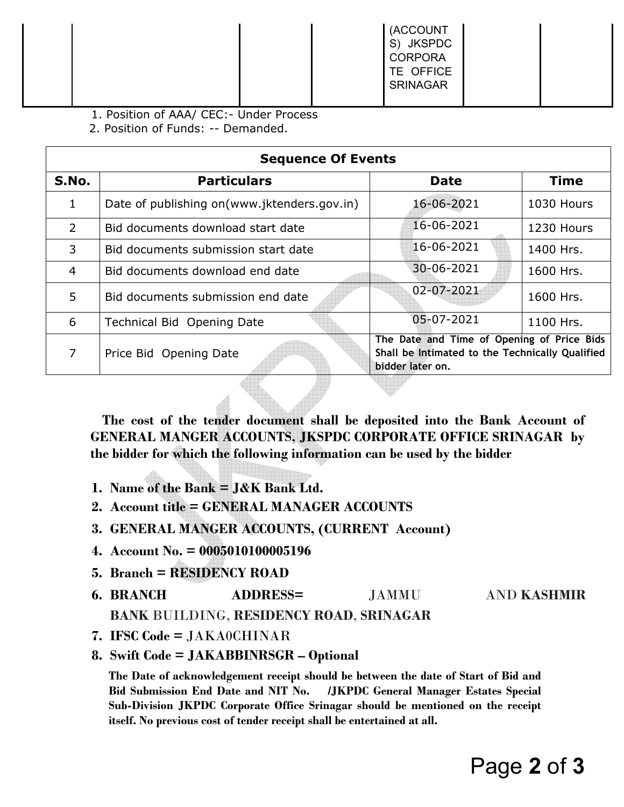|  | (ACCOUNT<br>S) JKSPDC<br><b>CORPORA</b><br>TE OFFICE<br><b>SRINAGAR</b> |  |
|--|-------------------------------------------------------------------------|--|
|--|-------------------------------------------------------------------------|--|

1. Position of AAA/ CEC:- Under Process

2. Position of Funds: -- Demanded.

|              | <b>Sequence Of Events</b>                    |                                                                                                                   |             |  |  |  |  |
|--------------|----------------------------------------------|-------------------------------------------------------------------------------------------------------------------|-------------|--|--|--|--|
| S.No.        | <b>Particulars</b>                           | <b>Date</b>                                                                                                       | <b>Time</b> |  |  |  |  |
| $\mathbf{1}$ | Date of publishing on (www.jktenders.gov.in) | 16-06-2021                                                                                                        | 1030 Hours  |  |  |  |  |
| 2            | Bid documents download start date            | 16-06-2021                                                                                                        | 1230 Hours  |  |  |  |  |
| 3            | Bid documents submission start date          | 16-06-2021                                                                                                        | 1400 Hrs.   |  |  |  |  |
| 4            | Bid documents download end date              | 30-06-2021                                                                                                        | 1600 Hrs.   |  |  |  |  |
| 5            | Bid documents submission end date            | 02-07-2021                                                                                                        | 1600 Hrs.   |  |  |  |  |
| 6            | Technical Bid Opening Date                   | 05-07-2021                                                                                                        | 1100 Hrs.   |  |  |  |  |
| 7            | Price Bid Opening Date                       | The Date and Time of Opening of Price Bids<br>Shall be Intimated to the Technically Qualified<br>bidder later on. |             |  |  |  |  |

 **The cost of the tender document shall be deposited into the Bank Account of GENERAL MANGER ACCOUNTS, JKSPDC CORPORATE OFFICE SRINAGAR by the bidder for which the following information can be used by the bidder** 

- **1. Name of the Bank = J&K Bank Ltd.**
- **2. Account title = GENERAL MANAGER ACCOUNTS**
- **3. GENERAL MANGER ACCOUNTS, (CURRENT Account)**
- **4. Account No. = 0005010100005196**
- **5. Branch = RESIDENCY ROAD**
- **6. BRANCH ADDRESS=** JAMMU AND **KASHMIR BANK** BUILDING, **RESIDENCY ROAD**, **SRINAGAR**
- **7. IFSC Code =** JAKA0CHINAR
- **8. Swift Code = JAKABBINRSGR Optional**

**The Date of acknowledgement receipt should be between the date of Start of Bid and Bid Submission End Date and NIT No. /JKPDC General Manager Estates Special Sub-Division JKPDC Corporate Office Srinagar should be mentioned on the receipt itself. No previous cost of tender receipt shall be entertained at all.**